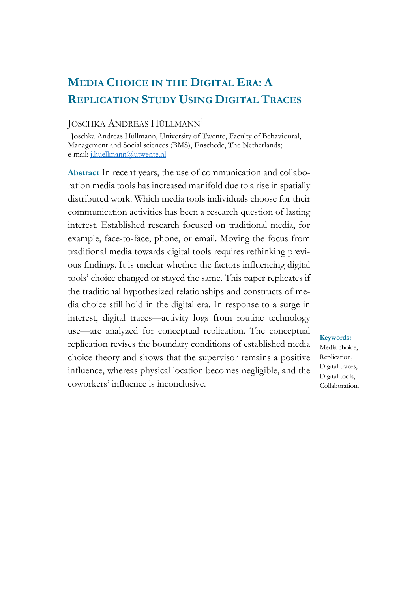# **MEDIA CHOICE IN THE DIGITAL ERA: A REPLICATION STUDY USING DIGITAL TRACES**

#### JOSCHKA ANDREAS HÜLLMANN<sup>1</sup>

<sup>1</sup>Joschka Andreas Hüllmann, University of Twente, Faculty of Behavioural, Management and Social sciences (BMS), Enschede, The Netherlands; e-mail: [j.huellmann@utwente.nl](mailto:j.huellmann@utwente.nl)

**Abstract** In recent years, the use of communication and collaboration media tools has increased manifold due to a rise in spatially distributed work. Which media tools individuals choose for their communication activities has been a research question of lasting interest. Established research focused on traditional media, for example, face-to-face, phone, or email. Moving the focus from traditional media towards digital tools requires rethinking previous findings. It is unclear whether the factors influencing digital tools' choice changed or stayed the same. This paper replicates if the traditional hypothesized relationships and constructs of media choice still hold in the digital era. In response to a surge in interest, digital traces—activity logs from routine technology use—are analyzed for conceptual replication. The conceptual replication revises the boundary conditions of established media choice theory and shows that the supervisor remains a positive influence, whereas physical location becomes negligible, and the coworkers' influence is inconclusive.

#### **Keywords:**

Media choice, Replication, Digital traces, Digital tools, Collaboration.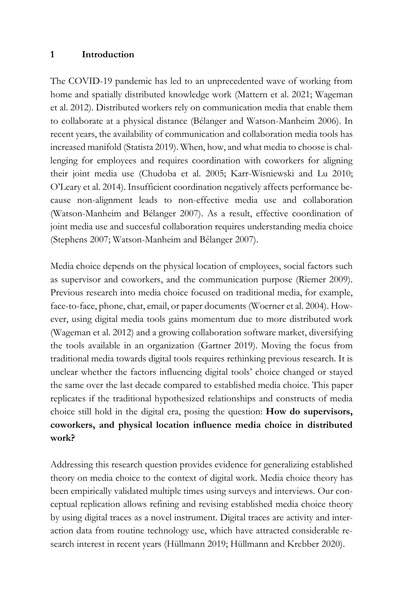#### **1 Introduction**

The COVID-19 pandemic has led to an unprecedented wave of working from home and spatially distributed knowledge work (Mattern et al. 2021; Wageman et al. 2012). Distributed workers rely on communication media that enable them to collaborate at a physical distance (Bélanger and Watson-Manheim 2006). In recent years, the availability of communication and collaboration media tools has increased manifold (Statista 2019). When, how, and what media to choose is challenging for employees and requires coordination with coworkers for aligning their joint media use (Chudoba et al. 2005; Karr-Wisniewski and Lu 2010; O'Leary et al. 2014). Insufficient coordination negatively affects performance because non-alignment leads to non-effective media use and collaboration (Watson-Manheim and Bélanger 2007). As a result, effective coordination of joint media use and succesful collaboration requires understanding media choice (Stephens 2007; Watson-Manheim and Bélanger 2007).

Media choice depends on the physical location of employees, social factors such as supervisor and coworkers, and the communication purpose (Riemer 2009). Previous research into media choice focused on traditional media, for example, face-to-face, phone, chat, email, or paper documents (Woerner et al. 2004). However, using digital media tools gains momentum due to more distributed work (Wageman et al. 2012) and a growing collaboration software market, diversifying the tools available in an organization (Gartner 2019). Moving the focus from traditional media towards digital tools requires rethinking previous research. It is unclear whether the factors influencing digital tools' choice changed or stayed the same over the last decade compared to established media choice. This paper replicates if the traditional hypothesized relationships and constructs of media choice still hold in the digital era, posing the question: **How do supervisors, coworkers, and physical location influence media choice in distributed work?**

Addressing this research question provides evidence for generalizing established theory on media choice to the context of digital work. Media choice theory has been empirically validated multiple times using surveys and interviews. Our conceptual replication allows refining and revising established media choice theory by using digital traces as a novel instrument. Digital traces are activity and interaction data from routine technology use, which have attracted considerable research interest in recent years (Hüllmann 2019; Hüllmann and Krebber 2020).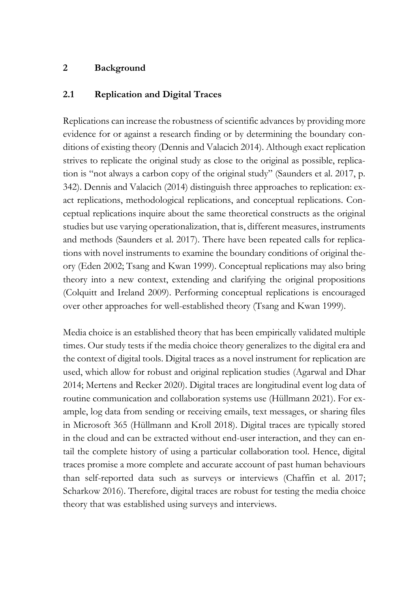### **2 Background**

### **2.1 Replication and Digital Traces**

Replications can increase the robustness of scientific advances by providing more evidence for or against a research finding or by determining the boundary conditions of existing theory (Dennis and Valacich 2014). Although exact replication strives to replicate the original study as close to the original as possible, replication is "not always a carbon copy of the original study" (Saunders et al. 2017, p. 342). Dennis and Valacich (2014) distinguish three approaches to replication: exact replications, methodological replications, and conceptual replications. Conceptual replications inquire about the same theoretical constructs as the original studies but use varying operationalization, that is, different measures, instruments and methods (Saunders et al. 2017). There have been repeated calls for replications with novel instruments to examine the boundary conditions of original theory (Eden 2002; Tsang and Kwan 1999). Conceptual replications may also bring theory into a new context, extending and clarifying the original propositions (Colquitt and Ireland 2009). Performing conceptual replications is encouraged over other approaches for well-established theory (Tsang and Kwan 1999).

Media choice is an established theory that has been empirically validated multiple times. Our study tests if the media choice theory generalizes to the digital era and the context of digital tools. Digital traces as a novel instrument for replication are used, which allow for robust and original replication studies (Agarwal and Dhar 2014; Mertens and Recker 2020). Digital traces are longitudinal event log data of routine communication and collaboration systems use (Hüllmann 2021). For example, log data from sending or receiving emails, text messages, or sharing files in Microsoft 365 (Hüllmann and Kroll 2018). Digital traces are typically stored in the cloud and can be extracted without end-user interaction, and they can entail the complete history of using a particular collaboration tool. Hence, digital traces promise a more complete and accurate account of past human behaviours than self-reported data such as surveys or interviews (Chaffin et al. 2017; Scharkow 2016). Therefore, digital traces are robust for testing the media choice theory that was established using surveys and interviews.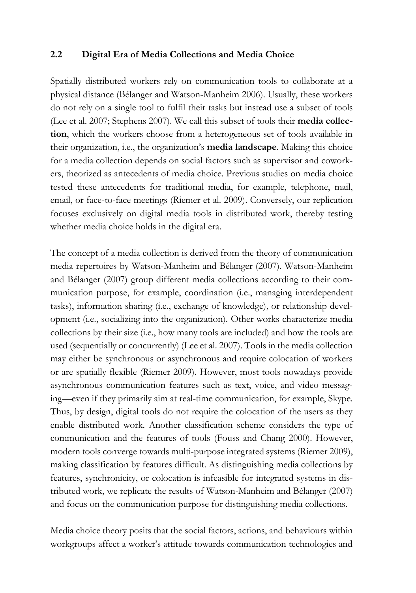#### **2.2 Digital Era of Media Collections and Media Choice**

Spatially distributed workers rely on communication tools to collaborate at a physical distance (Bélanger and Watson-Manheim 2006). Usually, these workers do not rely on a single tool to fulfil their tasks but instead use a subset of tools (Lee et al. 2007; Stephens 2007). We call this subset of tools their **media collection**, which the workers choose from a heterogeneous set of tools available in their organization, i.e., the organization's **media landscape**. Making this choice for a media collection depends on social factors such as supervisor and coworkers, theorized as antecedents of media choice. Previous studies on media choice tested these antecedents for traditional media, for example, telephone, mail, email, or face-to-face meetings (Riemer et al. 2009). Conversely, our replication focuses exclusively on digital media tools in distributed work, thereby testing whether media choice holds in the digital era.

The concept of a media collection is derived from the theory of communication media repertoires by Watson-Manheim and Bélanger (2007). Watson-Manheim and Bélanger (2007) group different media collections according to their communication purpose, for example, coordination (i.e., managing interdependent tasks), information sharing (i.e., exchange of knowledge), or relationship development (i.e., socializing into the organization). Other works characterize media collections by their size (i.e., how many tools are included) and how the tools are used (sequentially or concurrently) (Lee et al. 2007). Tools in the media collection may either be synchronous or asynchronous and require colocation of workers or are spatially flexible (Riemer 2009). However, most tools nowadays provide asynchronous communication features such as text, voice, and video messaging—even if they primarily aim at real-time communication, for example, Skype. Thus, by design, digital tools do not require the colocation of the users as they enable distributed work. Another classification scheme considers the type of communication and the features of tools (Fouss and Chang 2000). However, modern tools converge towards multi-purpose integrated systems (Riemer 2009), making classification by features difficult. As distinguishing media collections by features, synchronicity, or colocation is infeasible for integrated systems in distributed work, we replicate the results of Watson-Manheim and Bélanger (2007) and focus on the communication purpose for distinguishing media collections.

Media choice theory posits that the social factors, actions, and behaviours within workgroups affect a worker's attitude towards communication technologies and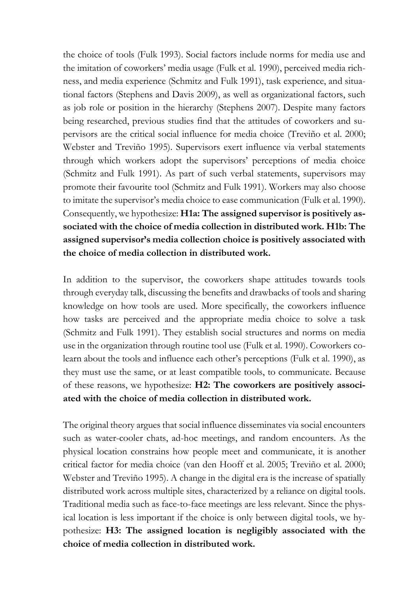the choice of tools (Fulk 1993). Social factors include norms for media use and the imitation of coworkers' media usage (Fulk et al. 1990), perceived media richness, and media experience (Schmitz and Fulk 1991), task experience, and situational factors (Stephens and Davis 2009), as well as organizational factors, such as job role or position in the hierarchy (Stephens 2007). Despite many factors being researched, previous studies find that the attitudes of coworkers and supervisors are the critical social influence for media choice (Treviño et al. 2000; Webster and Treviño 1995). Supervisors exert influence via verbal statements through which workers adopt the supervisors' perceptions of media choice (Schmitz and Fulk 1991). As part of such verbal statements, supervisors may promote their favourite tool (Schmitz and Fulk 1991). Workers may also choose to imitate the supervisor's media choice to ease communication (Fulk et al. 1990). Consequently, we hypothesize: **H1a: The assigned supervisor is positively associated with the choice of media collection in distributed work. H1b: The assigned supervisor's media collection choice is positively associated with the choice of media collection in distributed work.**

In addition to the supervisor, the coworkers shape attitudes towards tools through everyday talk, discussing the benefits and drawbacks of tools and sharing knowledge on how tools are used. More specifically, the coworkers influence how tasks are perceived and the appropriate media choice to solve a task (Schmitz and Fulk 1991). They establish social structures and norms on media use in the organization through routine tool use (Fulk et al. 1990). Coworkers colearn about the tools and influence each other's perceptions (Fulk et al. 1990), as they must use the same, or at least compatible tools, to communicate. Because of these reasons, we hypothesize: **H2: The coworkers are positively associated with the choice of media collection in distributed work.**

The original theory argues that social influence disseminates via social encounters such as water-cooler chats, ad-hoc meetings, and random encounters. As the physical location constrains how people meet and communicate, it is another critical factor for media choice (van den Hooff et al. 2005; Treviño et al. 2000; Webster and Treviño 1995). A change in the digital era is the increase of spatially distributed work across multiple sites, characterized by a reliance on digital tools. Traditional media such as face-to-face meetings are less relevant. Since the physical location is less important if the choice is only between digital tools, we hypothesize: **H3: The assigned location is negligibly associated with the choice of media collection in distributed work.**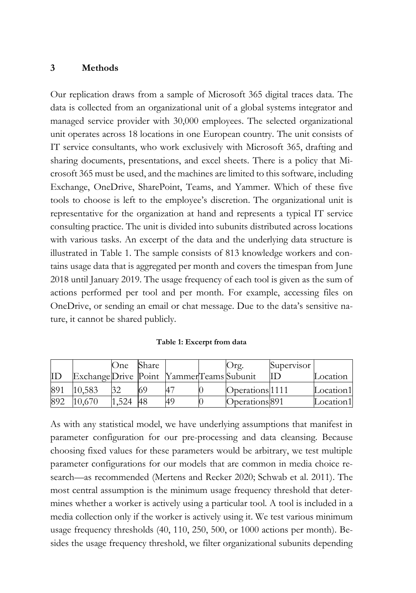#### **3 Methods**

Our replication draws from a sample of Microsoft 365 digital traces data. The data is collected from an organizational unit of a global systems integrator and managed service provider with 30,000 employees. The selected organizational unit operates across 18 locations in one European country. The unit consists of IT service consultants, who work exclusively with Microsoft 365, drafting and sharing documents, presentations, and excel sheets. There is a policy that Microsoft 365 must be used, and the machines are limited to this software, including Exchange, OneDrive, SharePoint, Teams, and Yammer. Which of these five tools to choose is left to the employee's discretion. The organizational unit is representative for the organization at hand and represents a typical IT service consulting practice. The unit is divided into subunits distributed across locations with various tasks. An excerpt of the data and the underlying data structure is illustrated in Table 1. The sample consists of 813 knowledge workers and contains usage data that is aggregated per month and covers the timespan from June 2018 until January 2019. The usage frequency of each tool is given as the sum of actions performed per tool and per month. For example, accessing files on OneDrive, or sending an email or chat message. Due to the data's sensitive nature, it cannot be shared publicly.

|     |                                           | One)  | Share |    | $Ur\sigma$ .               | Supervisor |           |
|-----|-------------------------------------------|-------|-------|----|----------------------------|------------|-----------|
| ID  | Exchange Drive Point Yammer Teams Subunit |       |       |    |                            | ΠD         | Location  |
| 891 | 10.583                                    |       |       |    | Operations <sup>1111</sup> |            | Location1 |
| 892 | 10.670                                    | 1.524 | 48    | 49 | Operations <sup>891</sup>  |            | Location1 |

As with any statistical model, we have underlying assumptions that manifest in parameter configuration for our pre-processing and data cleansing. Because choosing fixed values for these parameters would be arbitrary, we test multiple parameter configurations for our models that are common in media choice research—as recommended (Mertens and Recker 2020; Schwab et al. 2011). The most central assumption is the minimum usage frequency threshold that determines whether a worker is actively using a particular tool. A tool is included in a media collection only if the worker is actively using it. We test various minimum usage frequency thresholds (40, 110, 250, 500, or 1000 actions per month). Besides the usage frequency threshold, we filter organizational subunits depending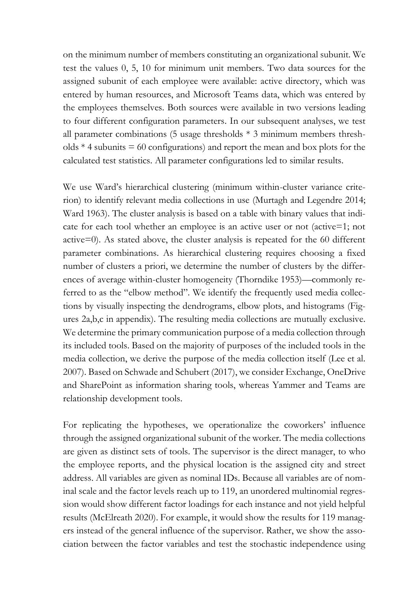on the minimum number of members constituting an organizational subunit. We test the values 0, 5, 10 for minimum unit members. Two data sources for the assigned subunit of each employee were available: active directory, which was entered by human resources, and Microsoft Teams data, which was entered by the employees themselves. Both sources were available in two versions leading to four different configuration parameters. In our subsequent analyses, we test all parameter combinations (5 usage thresholds \* 3 minimum members thresholds  $*$  4 subunits  $=$  60 configurations) and report the mean and box plots for the calculated test statistics. All parameter configurations led to similar results.

We use Ward's hierarchical clustering (minimum within-cluster variance criterion) to identify relevant media collections in use (Murtagh and Legendre 2014; Ward 1963). The cluster analysis is based on a table with binary values that indicate for each tool whether an employee is an active user or not (active=1; not active=0). As stated above, the cluster analysis is repeated for the 60 different parameter combinations. As hierarchical clustering requires choosing a fixed number of clusters a priori, we determine the number of clusters by the differences of average within-cluster homogeneity (Thorndike 1953)—commonly referred to as the "elbow method". We identify the frequently used media collections by visually inspecting the dendrograms, elbow plots, and histograms (Figures 2a,b,c in appendix). The resulting media collections are mutually exclusive. We determine the primary communication purpose of a media collection through its included tools. Based on the majority of purposes of the included tools in the media collection, we derive the purpose of the media collection itself (Lee et al. 2007). Based on Schwade and Schubert (2017), we consider Exchange, OneDrive and SharePoint as information sharing tools, whereas Yammer and Teams are relationship development tools.

For replicating the hypotheses, we operationalize the coworkers' influence through the assigned organizational subunit of the worker. The media collections are given as distinct sets of tools. The supervisor is the direct manager, to who the employee reports, and the physical location is the assigned city and street address. All variables are given as nominal IDs. Because all variables are of nominal scale and the factor levels reach up to 119, an unordered multinomial regression would show different factor loadings for each instance and not yield helpful results (McElreath 2020). For example, it would show the results for 119 managers instead of the general influence of the supervisor. Rather, we show the association between the factor variables and test the stochastic independence using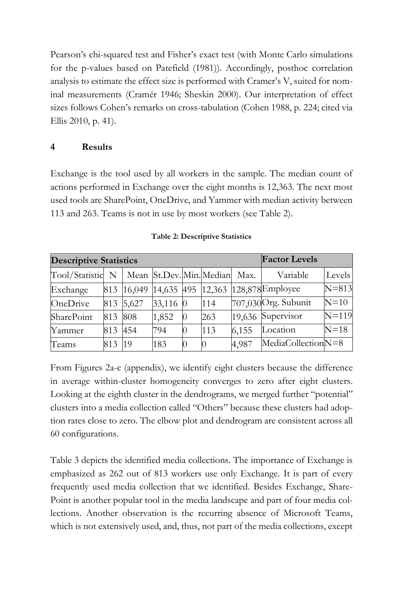Pearson's chi-squared test and Fisher's exact test (with Monte Carlo simulations for the p-values based on Patefield (1981)). Accordingly, posthoc correlation analysis to estimate the effect size is performed with Cramer's V, suited for nominal measurements (Cramér 1946; Sheskin 2000). Our interpretation of effect sizes follows Cohen's remarks on cross-tabulation (Cohen 1988, p. 224; cited via Ellis 2010, p. 41).

## **4 Results**

Exchange is the tool used by all workers in the sample. The median count of actions performed in Exchange over the eight months is 12,363. The next most used tools are SharePoint, OneDrive, and Yammer with median activity between 113 and 263. Teams is not in use by most workers (see Table 2).

| <b>Descriptive Statistics</b> |         | <b>Factor Levels</b> |            |                               |       |                      |           |
|-------------------------------|---------|----------------------|------------|-------------------------------|-------|----------------------|-----------|
| Tool/Statistic N              |         |                      |            | Mean St.Dev. Min. Median Max. |       | Variable             | Levels    |
| Exchange                      | 813     | 16,049               | 14,635 495 | 12,363                        |       | 128,878Employee      | $N = 813$ |
| OneDrive                      |         | 813 5,627            | 33,116 0   | 114                           |       | 707,030 Org. Subunit | $N=10$    |
| SharePoint                    | 813 808 |                      | 1,852      | 263                           |       | 19,636 Supervisor    | $N=119$   |
| Yammer                        | 813 454 |                      | 794        | 113                           | 6,155 | Location             | $N=18$    |
| Teams                         | 813     | 19                   | 183        |                               | 4,987 | MediaCollectionN=8   |           |

**Table 2: Descriptive Statistics**

From Figures 2a-c (appendix), we identify eight clusters because the difference in average within-cluster homogeneity converges to zero after eight clusters. Looking at the eighth cluster in the dendrograms, we merged further "potential" clusters into a media collection called "Others" because these clusters had adoption rates close to zero. The elbow plot and dendrogram are consistent across all 60 configurations.

Table 3 depicts the identified media collections. The importance of Exchange is emphasized as 262 out of 813 workers use only Exchange. It is part of every frequently used media collection that we identified. Besides Exchange, Share-Point is another popular tool in the media landscape and part of four media collections. Another observation is the recurring absence of Microsoft Teams, which is not extensively used, and, thus, not part of the media collections, except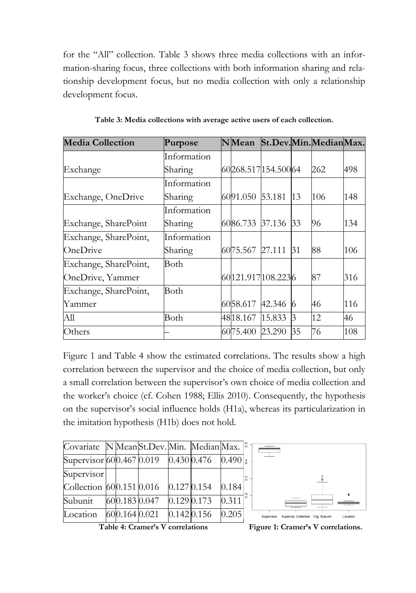for the "All" collection. Table 3 shows three media collections with an information-sharing focus, three collections with both information sharing and relationship development focus, but no media collection with only a relationship development focus.

| <b>Media Collection</b> | Purpose     | <b>N</b> Mean   |                    |    | St.Dev.Min.MedianMax. |     |
|-------------------------|-------------|-----------------|--------------------|----|-----------------------|-----|
|                         | Information |                 |                    |    |                       |     |
| Exchange                | Sharing     |                 | 60268.517154.50064 |    | 262                   | 498 |
|                         | Information |                 |                    |    |                       |     |
| Exchange, OneDrive      | Sharing     | 6091.050 53.181 |                    | 13 | 106                   | 148 |
|                         | Information |                 |                    |    |                       |     |
| Exchange, SharePoint    | Sharing     | 6086.733 37.136 |                    | 33 | 96                    | 134 |
| Exchange, SharePoint,   | Information |                 |                    |    |                       |     |
| OneDrive                | Sharing     | 6075.567 27.111 |                    | 31 | 88                    | 106 |
| Exchange, SharePoint,   | Both        |                 |                    |    |                       |     |
| OneDrive, Yammer        |             |                 | 60121.917108.2236  |    | 87                    | 316 |
| Exchange, SharePoint,   | Both        |                 |                    |    |                       |     |
| Yammer                  |             | 6058.617 42.346 |                    | 6  | 46                    | 116 |
| All                     | Both        | 4818.167 15.833 |                    | 3  | 12                    | 46  |
| Others                  |             | 6075.400        | 23.290             | 35 | 76                    | 108 |

**Table 3: Media collections with average active users of each collection.**

Figure 1 and Table 4 show the estimated correlations. The results show a high correlation between the supervisor and the choice of media collection, but only a small correlation between the supervisor's own choice of media collection and the worker's choice (cf. Cohen 1988; Ellis 2010). Consequently, the hypothesis on the supervisor's social influence holds (H1a), whereas its particularization in the imitation hypothesis (H1b) does not hold.

| Covariate N Mean St. Dev. Min. Median Max. |               |             |                  |                 |
|--------------------------------------------|---------------|-------------|------------------|-----------------|
| Supervisor 600.467 0.019                   |               | 0.430 0.476 | $0.490 \pm 0.00$ |                 |
| Supervisor                                 |               |             |                  | $\frac{3}{2}$ . |
| Collection 600.151 0.016                   |               | 0.1270.154  | 0.184            |                 |
| Subunit                                    | 600.1830.047  | 0.1290.173  | 0.311            |                 |
| Location                                   | 600.164 0.021 | 0.1420.156  | 0.205            |                 |



**Table 4: Cramer's V correlations Figure 1: Cramer's V correlations.**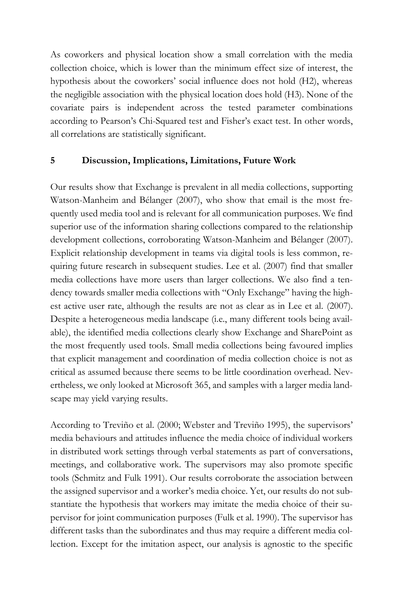As coworkers and physical location show a small correlation with the media collection choice, which is lower than the minimum effect size of interest, the hypothesis about the coworkers' social influence does not hold (H2), whereas the negligible association with the physical location does hold (H3). None of the covariate pairs is independent across the tested parameter combinations according to Pearson's Chi-Squared test and Fisher's exact test. In other words, all correlations are statistically significant.

#### **5 Discussion, Implications, Limitations, Future Work**

Our results show that Exchange is prevalent in all media collections, supporting Watson-Manheim and Bélanger (2007), who show that email is the most frequently used media tool and is relevant for all communication purposes. We find superior use of the information sharing collections compared to the relationship development collections, corroborating Watson-Manheim and Bélanger (2007). Explicit relationship development in teams via digital tools is less common, requiring future research in subsequent studies. Lee et al. (2007) find that smaller media collections have more users than larger collections. We also find a tendency towards smaller media collections with "Only Exchange" having the highest active user rate, although the results are not as clear as in Lee et al. (2007). Despite a heterogeneous media landscape (i.e., many different tools being available), the identified media collections clearly show Exchange and SharePoint as the most frequently used tools. Small media collections being favoured implies that explicit management and coordination of media collection choice is not as critical as assumed because there seems to be little coordination overhead. Nevertheless, we only looked at Microsoft 365, and samples with a larger media landscape may yield varying results.

According to Treviño et al. (2000; Webster and Treviño 1995), the supervisors' media behaviours and attitudes influence the media choice of individual workers in distributed work settings through verbal statements as part of conversations, meetings, and collaborative work. The supervisors may also promote specific tools (Schmitz and Fulk 1991). Our results corroborate the association between the assigned supervisor and a worker's media choice. Yet, our results do not substantiate the hypothesis that workers may imitate the media choice of their supervisor for joint communication purposes (Fulk et al. 1990). The supervisor has different tasks than the subordinates and thus may require a different media collection. Except for the imitation aspect, our analysis is agnostic to the specific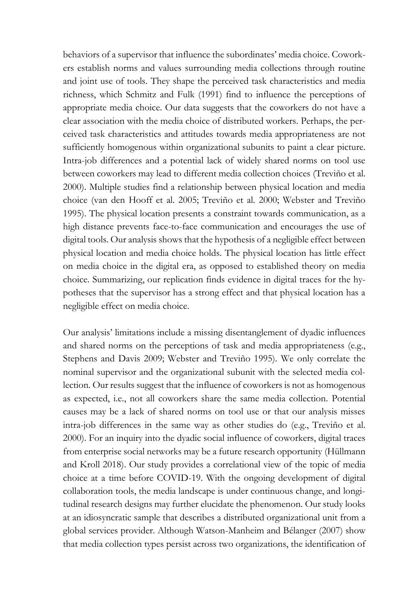behaviors of a supervisor that influence the subordinates' media choice. Coworkers establish norms and values surrounding media collections through routine and joint use of tools. They shape the perceived task characteristics and media richness, which Schmitz and Fulk (1991) find to influence the perceptions of appropriate media choice. Our data suggests that the coworkers do not have a clear association with the media choice of distributed workers. Perhaps, the perceived task characteristics and attitudes towards media appropriateness are not sufficiently homogenous within organizational subunits to paint a clear picture. Intra-job differences and a potential lack of widely shared norms on tool use between coworkers may lead to different media collection choices (Treviño et al. 2000). Multiple studies find a relationship between physical location and media choice (van den Hooff et al. 2005; Treviño et al. 2000; Webster and Treviño 1995). The physical location presents a constraint towards communication, as a high distance prevents face-to-face communication and encourages the use of digital tools. Our analysis shows that the hypothesis of a negligible effect between physical location and media choice holds. The physical location has little effect on media choice in the digital era, as opposed to established theory on media choice. Summarizing, our replication finds evidence in digital traces for the hypotheses that the supervisor has a strong effect and that physical location has a negligible effect on media choice.

Our analysis' limitations include a missing disentanglement of dyadic influences and shared norms on the perceptions of task and media appropriateness (e.g., Stephens and Davis 2009; Webster and Treviño 1995). We only correlate the nominal supervisor and the organizational subunit with the selected media collection. Our results suggest that the influence of coworkers is not as homogenous as expected, i.e., not all coworkers share the same media collection. Potential causes may be a lack of shared norms on tool use or that our analysis misses intra-job differences in the same way as other studies do (e.g., Treviño et al. 2000). For an inquiry into the dyadic social influence of coworkers, digital traces from enterprise social networks may be a future research opportunity (Hüllmann and Kroll 2018). Our study provides a correlational view of the topic of media choice at a time before COVID-19. With the ongoing development of digital collaboration tools, the media landscape is under continuous change, and longitudinal research designs may further elucidate the phenomenon. Our study looks at an idiosyncratic sample that describes a distributed organizational unit from a global services provider. Although Watson-Manheim and Bélanger (2007) show that media collection types persist across two organizations, the identification of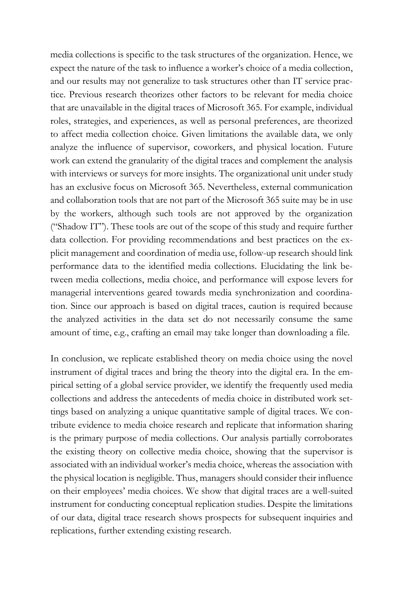media collections is specific to the task structures of the organization. Hence, we expect the nature of the task to influence a worker's choice of a media collection, and our results may not generalize to task structures other than IT service practice. Previous research theorizes other factors to be relevant for media choice that are unavailable in the digital traces of Microsoft 365. For example, individual roles, strategies, and experiences, as well as personal preferences, are theorized to affect media collection choice. Given limitations the available data, we only analyze the influence of supervisor, coworkers, and physical location. Future work can extend the granularity of the digital traces and complement the analysis with interviews or surveys for more insights. The organizational unit under study has an exclusive focus on Microsoft 365. Nevertheless, external communication and collaboration tools that are not part of the Microsoft 365 suite may be in use by the workers, although such tools are not approved by the organization ("Shadow IT"). These tools are out of the scope of this study and require further data collection. For providing recommendations and best practices on the explicit management and coordination of media use, follow-up research should link performance data to the identified media collections. Elucidating the link between media collections, media choice, and performance will expose levers for managerial interventions geared towards media synchronization and coordination. Since our approach is based on digital traces, caution is required because the analyzed activities in the data set do not necessarily consume the same amount of time, e.g., crafting an email may take longer than downloading a file.

In conclusion, we replicate established theory on media choice using the novel instrument of digital traces and bring the theory into the digital era. In the empirical setting of a global service provider, we identify the frequently used media collections and address the antecedents of media choice in distributed work settings based on analyzing a unique quantitative sample of digital traces. We contribute evidence to media choice research and replicate that information sharing is the primary purpose of media collections. Our analysis partially corroborates the existing theory on collective media choice, showing that the supervisor is associated with an individual worker's media choice, whereas the association with the physical location is negligible. Thus, managers should consider their influence on their employees' media choices. We show that digital traces are a well-suited instrument for conducting conceptual replication studies. Despite the limitations of our data, digital trace research shows prospects for subsequent inquiries and replications, further extending existing research.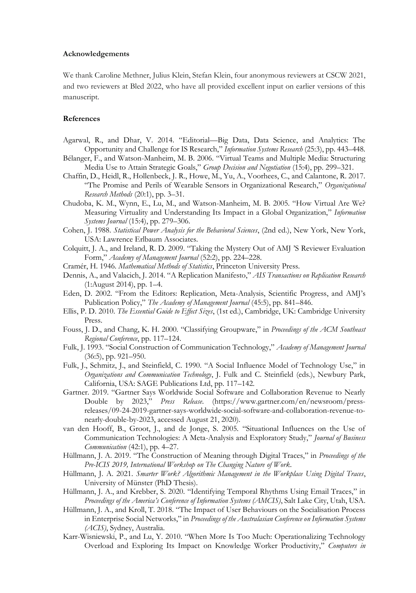#### **Acknowledgements**

We thank Caroline Methner, Julius Klein, Stefan Klein, four anonymous reviewers at CSCW 2021, and two reviewers at Bled 2022, who have all provided excellent input on earlier versions of this manuscript.

#### **References**

- Agarwal, R., and Dhar, V. 2014. "Editorial—Big Data, Data Science, and Analytics: The Opportunity and Challenge for IS Research," *Information Systems Research* (25:3), pp. 443–448.
- Bélanger, F., and Watson-Manheim, M. B. 2006. "Virtual Teams and Multiple Media: Structuring Media Use to Attain Strategic Goals," *Group Decision and Negotiation* (15:4), pp. 299–321.
- Chaffin, D., Heidl, R., Hollenbeck, J. R., Howe, M., Yu, A., Voorhees, C., and Calantone, R. 2017. "The Promise and Perils of Wearable Sensors in Organizational Research," *Organizational Research Methods* (20:1), pp. 3–31.
- Chudoba, K. M., Wynn, E., Lu, M., and Watson-Manheim, M. B. 2005. "How Virtual Are We? Measuring Virtuality and Understanding Its Impact in a Global Organization," *Information Systems Journal* (15:4), pp. 279–306.
- Cohen, J. 1988. *Statistical Power Analysis for the Behavioral Sciences*, (2nd ed.), New York, New York, USA: Lawrence Erlbaum Associates.
- Colquitt, J. A., and Ireland, R. D. 2009. "Taking the Mystery Out of AMJ 'S Reviewer Evaluation Form," *Academy of Management Journal* (52:2), pp. 224–228.
- Cramér, H. 1946. *Mathematical Methods of Statistics*, Princeton University Press.
- Dennis, A., and Valacich, J. 2014. "A Replication Manifesto," *AIS Transactions on Replication Research* (1:August 2014), pp. 1–4.
- Eden, D. 2002. "From the Editors: Replication, Meta-Analysis, Scientific Progress, and AMJ's Publication Policy," *The Academy of Management Journal* (45:5), pp. 841–846.
- Ellis, P. D. 2010. *The Essential Guide to Effect Sizes*, (1st ed.), Cambridge, UK: Cambridge University Press.
- Fouss, J. D., and Chang, K. H. 2000. "Classifying Groupware," in *Proceedings of the ACM Southeast Regional Conference*, pp. 117–124.
- Fulk, J. 1993. "Social Construction of Communication Technology," *Academy of Management Journal* (36:5), pp. 921–950.
- Fulk, J., Schmitz, J., and Steinfield, C. 1990. "A Social Influence Model of Technology Use," in *Organizations and Communication Technology*, J. Fulk and C. Steinfield (eds.), Newbury Park, California, USA: SAGE Publications Ltd, pp. 117–142.
- Gartner. 2019. "Gartner Says Worldwide Social Software and Collaboration Revenue to Nearly Double by 2023," *Press Release*. (https://www.gartner.com/en/newsroom/pressreleases/09-24-2019-gartner-says-worldwide-social-software-and-collaboration-revenue-tonearly-double-by-2023, accessed August 21, 2020).
- van den Hooff, B., Groot, J., and de Jonge, S. 2005. "Situational Influences on the Use of Communication Technologies: A Meta-Analysis and Exploratory Study," *Journal of Business Communication* (42:1), pp. 4–27.
- Hüllmann, J. A. 2019. "The Construction of Meaning through Digital Traces," in *Proceedings of the Pre-ICIS 2019, International Workshop on The Changing Nature of Work*.
- Hüllmann, J. A. 2021. *Smarter Work? Algorithmic Management in the Workplace Using Digital Traces*, University of Münster (PhD Thesis).
- Hüllmann, J. A., and Krebber, S. 2020. "Identifying Temporal Rhythms Using Email Traces," in *Proceedings of the America's Conference of Information Systems (AMCIS)*, Salt Lake City, Utah, USA.
- Hüllmann, J. A., and Kroll, T. 2018. "The Impact of User Behaviours on the Socialisation Process in Enterprise Social Networks," in *Proceedings of the Australasian Conference on Information Systems (ACIS)*, Sydney, Australia.
- Karr-Wisniewski, P., and Lu, Y. 2010. "When More Is Too Much: Operationalizing Technology Overload and Exploring Its Impact on Knowledge Worker Productivity," *Computers in*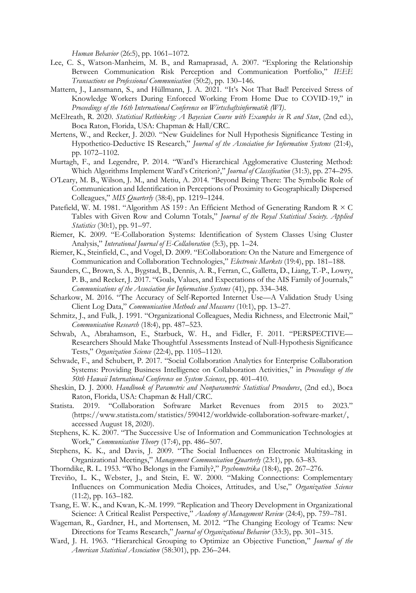*Human Behavior* (26:5), pp. 1061–1072.

- Lee, C. S., Watson-Manheim, M. B., and Ramaprasad, A. 2007. "Exploring the Relationship Between Communication Risk Perception and Communication Portfolio," *IEEE Transactions on Professional Communication* (50:2), pp. 130–146.
- Mattern, J., Lansmann, S., and Hüllmann, J. A. 2021. "It's Not That Bad! Perceived Stress of Knowledge Workers During Enforced Working From Home Due to COVID-19," in *Proceedings of the 16th International Conference on Wirtschaftsinformatik (WI)*.
- McElreath, R. 2020. *Statistical Rethinking: A Bayesian Course with Examples in R and Stan*, (2nd ed.), Boca Raton, Florida, USA: Chapman & Hall/CRC.
- Mertens, W., and Recker, J. 2020. "New Guidelines for Null Hypothesis Significance Testing in Hypothetico-Deductive IS Research," *Journal of the Association for Information Systems* (21:4), pp. 1072–1102.
- Murtagh, F., and Legendre, P. 2014. "Ward's Hierarchical Agglomerative Clustering Method: Which Algorithms Implement Ward's Criterion?," *Journal of Classification* (31:3), pp. 274–295.
- O'Leary, M. B., Wilson, J. M., and Metiu, A. 2014. "Beyond Being There: The Symbolic Role of Communication and Identification in Perceptions of Proximity to Geographically Dispersed Colleagues," *MIS Quarterly* (38:4), pp. 1219–1244.
- Patefield, W. M. 1981. "Algorithm AS 159 : An Efficient Method of Generating Random R × C Tables with Given Row and Column Totals," *Journal of the Royal Statistical Society. Applied Statistics* (30:1), pp. 91–97.
- Riemer, K. 2009. "E-Collaboration Systems: Identification of System Classes Using Cluster Analysis," *Interational Journal of E-Collaboration* (5:3), pp. 1–24.
- Riemer, K., Steinfield, C., and Vogel, D. 2009. "ECollaboration: On the Nature and Emergence of Communication and Collaboration Technologies," *Electronic Markets* (19:4), pp. 181–188.
- Saunders, C., Brown, S. A., Bygstad, B., Dennis, A. R., Ferran, C., Galletta, D., Liang, T.-P., Lowry, P. B., and Recker, J. 2017. "Goals, Values, and Expectations of the AIS Family of Journals," *Communications of the Association for Information Systems* (41), pp. 334–348.
- Scharkow, M. 2016. "The Accuracy of Self-Reported Internet Use—A Validation Study Using Client Log Data," *Communication Methods and Measures* (10:1), pp. 13–27.
- Schmitz, J., and Fulk, J. 1991. "Organizational Colleagues, Media Richness, and Electronic Mail," *Communication Research* (18:4), pp. 487–523.
- Schwab, A., Abrahamson, E., Starbuck, W. H., and Fidler, F. 2011. "PERSPECTIVE— Researchers Should Make Thoughtful Assessments Instead of Null-Hypothesis Significance Tests," *Organization Science* (22:4), pp. 1105–1120.
- Schwade, F., and Schubert, P. 2017. "Social Collaboration Analytics for Enterprise Collaboration Systems: Providing Business Intelligence on Collaboration Activities," in *Proceedings of the 50th Hawaii International Conference on System Sciences*, pp. 401–410.
- Sheskin, D. J. 2000. *Handbook of Parametric and Nonparametric Statistical Procedures*, (2nd ed.), Boca Raton, Florida, USA: Chapman & Hall/CRC.
- Statista. 2019. "Collaboration Software Market Revenues from 2015 to 2023." (https://www.statista.com/statistics/590412/worldwide-collaboration-software-market/, accessed August 18, 2020).
- Stephens, K. K. 2007. "The Successive Use of Information and Communication Technologies at Work," *Communication Theory* (17:4), pp. 486–507.
- Stephens, K. K., and Davis, J. 2009. "The Social Influences on Electronic Multitasking in Organizational Meetings," *Management Communication Quarterly* (23:1), pp. 63–83.
- Thorndike, R. L. 1953. "Who Belongs in the Family?," *Psychometrika* (18:4), pp. 267–276.
- Treviño, L. K., Webster, J., and Stein, E. W. 2000. "Making Connections: Complementary Influences on Communication Media Choices, Attitudes, and Use," *Organization Science* (11:2), pp. 163–182.
- Tsang, E. W. K., and Kwan, K.-M. 1999. "Replication and Theory Development in Organizational Science: A Critical Realist Perspective," *Academy of Management Review* (24:4), pp. 759–781.
- Wageman, R., Gardner, H., and Mortensen, M. 2012. "The Changing Ecology of Teams: New Directions for Teams Research," *Journal of Organizational Behavior* (33:3), pp. 301–315.
- Ward, J. H. 1963. "Hierarchical Grouping to Optimize an Objective Function," *Journal of the American Statistical Association* (58:301), pp. 236–244.